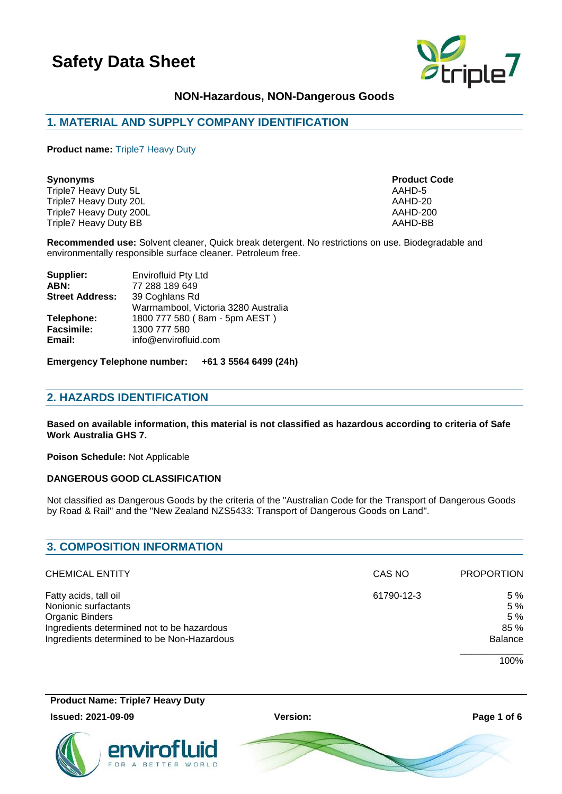

### **NON-Hazardous, NON-Dangerous Goods**

# **1. MATERIAL AND SUPPLY COMPANY IDENTIFICATION**

**Product name:** Triple7 Heavy Duty

Triple7 Heavy Duty 5L **AAHD-5** AAHD-5 Triple7 Heavy Duty 20L<br>Triple7 Heavy Duty 200L<br>Triple7 Heavy Duty 200L Triple7 Heavy Duty 200L<br>
Triple7 Heavy Duty BB<br>
Triple7 Heavy Duty BB Triple7 Heavy Duty BB

**Synonyms Product Code**

**Recommended use:** Solvent cleaner, Quick break detergent. No restrictions on use. Biodegradable and environmentally responsible surface cleaner. Petroleum free.

| Supplier:              | <b>Envirofluid Pty Ltd</b>           |
|------------------------|--------------------------------------|
| ABN:                   | 77 288 189 649                       |
| <b>Street Address:</b> | 39 Coghlans Rd                       |
|                        | Warrnambool, Victoria 3280 Australia |
| Telephone:             | 1800 777 580 (8am - 5pm AEST)        |
| <b>Facsimile:</b>      | 1300 777 580                         |
| Email:                 | info@envirofluid.com                 |
|                        |                                      |

**Emergency Telephone number: +61 3 5564 6499 (24h)**

### **2. HAZARDS IDENTIFICATION**

**Based on available information, this material is not classified as hazardous according to criteria of Safe Work Australia GHS 7.**

**Poison Schedule:** Not Applicable

#### **DANGEROUS GOOD CLASSIFICATION**

Not classified as Dangerous Goods by the criteria of the "Australian Code for the Transport of Dangerous Goods by Road & Rail" and the "New Zealand NZS5433: Transport of Dangerous Goods on Land".

| <b>3. COMPOSITION INFORMATION</b>                                                                                                                            |            |                                            |  |
|--------------------------------------------------------------------------------------------------------------------------------------------------------------|------------|--------------------------------------------|--|
| <b>CHEMICAL ENTITY</b>                                                                                                                                       | CAS NO     | <b>PROPORTION</b>                          |  |
| Fatty acids, tall oil<br>Nonionic surfactants<br>Organic Binders<br>Ingredients determined not to be hazardous<br>Ingredients determined to be Non-Hazardous | 61790-12-3 | 5 %<br>5 %<br>5%<br>85 %<br><b>Balance</b> |  |
|                                                                                                                                                              |            | 100%                                       |  |

**Product Name: Triple7 Heavy Duty**

#### **Issued: 2021-09-09 Version: Page 1 of 6**



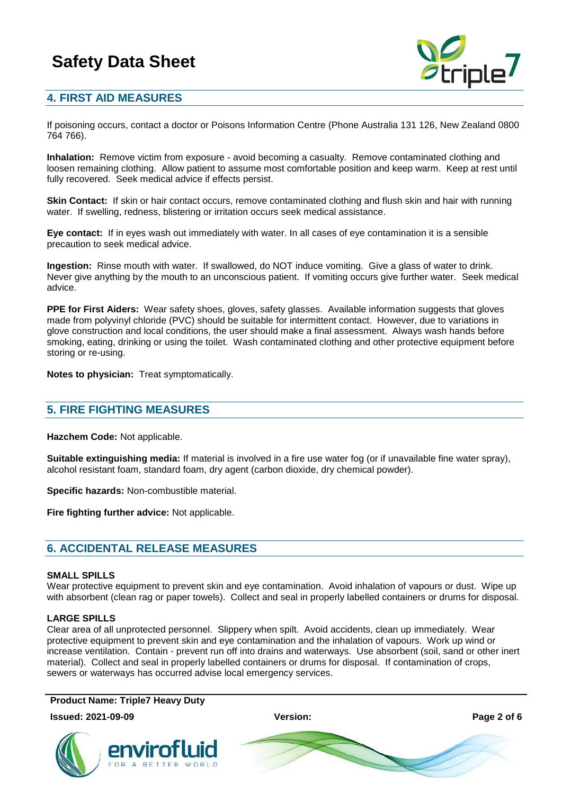

# **4. FIRST AID MEASURES**

If poisoning occurs, contact a doctor or Poisons Information Centre (Phone Australia 131 126, New Zealand 0800 764 766).

**Inhalation:** Remove victim from exposure - avoid becoming a casualty. Remove contaminated clothing and loosen remaining clothing. Allow patient to assume most comfortable position and keep warm. Keep at rest until fully recovered. Seek medical advice if effects persist.

**Skin Contact:** If skin or hair contact occurs, remove contaminated clothing and flush skin and hair with running water. If swelling, redness, blistering or irritation occurs seek medical assistance.

**Eye contact:** If in eyes wash out immediately with water. In all cases of eye contamination it is a sensible precaution to seek medical advice.

**Ingestion:** Rinse mouth with water. If swallowed, do NOT induce vomiting. Give a glass of water to drink. Never give anything by the mouth to an unconscious patient. If vomiting occurs give further water. Seek medical advice.

**PPE for First Aiders:** Wear safety shoes, gloves, safety glasses. Available information suggests that gloves made from polyvinyl chloride (PVC) should be suitable for intermittent contact. However, due to variations in glove construction and local conditions, the user should make a final assessment. Always wash hands before smoking, eating, drinking or using the toilet. Wash contaminated clothing and other protective equipment before storing or re-using.

**Notes to physician:** Treat symptomatically.

### **5. FIRE FIGHTING MEASURES**

**Hazchem Code:** Not applicable.

**Suitable extinguishing media:** If material is involved in a fire use water fog (or if unavailable fine water spray), alcohol resistant foam, standard foam, dry agent (carbon dioxide, dry chemical powder).

**Specific hazards:** Non-combustible material.

**Fire fighting further advice:** Not applicable.

### **6. ACCIDENTAL RELEASE MEASURES**

#### **SMALL SPILLS**

Wear protective equipment to prevent skin and eye contamination. Avoid inhalation of vapours or dust. Wipe up with absorbent (clean rag or paper towels). Collect and seal in properly labelled containers or drums for disposal.

#### **LARGE SPILLS**

Clear area of all unprotected personnel. Slippery when spilt. Avoid accidents, clean up immediately. Wear protective equipment to prevent skin and eye contamination and the inhalation of vapours. Work up wind or increase ventilation. Contain - prevent run off into drains and waterways. Use absorbent (soil, sand or other inert material). Collect and seal in properly labelled containers or drums for disposal. If contamination of crops, sewers or waterways has occurred advise local emergency services.

**Product Name: Triple7 Heavy Duty**



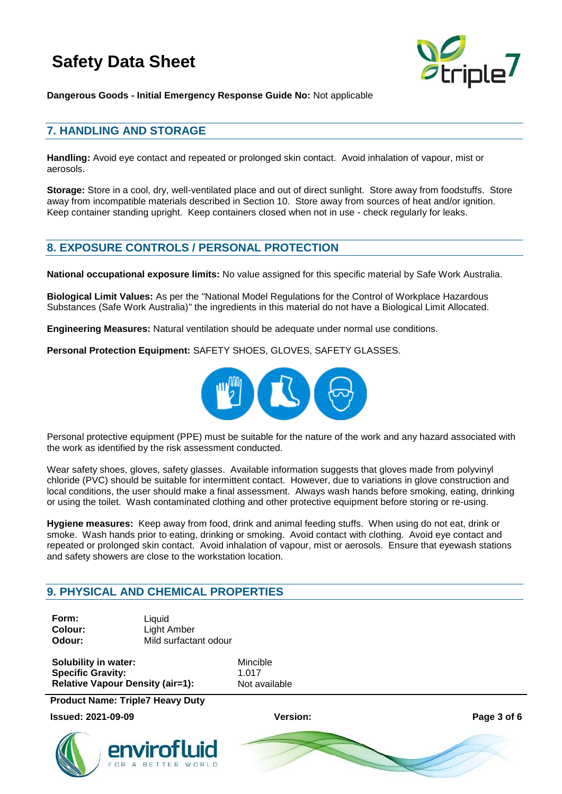

**Dangerous Goods - Initial Emergency Response Guide No:** Not applicable

# **7. HANDLING AND STORAGE**

**Handling:** Avoid eye contact and repeated or prolonged skin contact. Avoid inhalation of vapour, mist or aerosols.

**Storage:** Store in a cool, dry, well-ventilated place and out of direct sunlight. Store away from foodstuffs. Store away from incompatible materials described in Section 10. Store away from sources of heat and/or ignition. Keep container standing upright. Keep containers closed when not in use - check regularly for leaks.

### **8. EXPOSURE CONTROLS / PERSONAL PROTECTION**

**National occupational exposure limits:** No value assigned for this specific material by Safe Work Australia.

**Biological Limit Values:** As per the "National Model Regulations for the Control of Workplace Hazardous Substances (Safe Work Australia)" the ingredients in this material do not have a Biological Limit Allocated.

**Engineering Measures:** Natural ventilation should be adequate under normal use conditions.

**Personal Protection Equipment:** SAFETY SHOES, GLOVES, SAFETY GLASSES.



Personal protective equipment (PPE) must be suitable for the nature of the work and any hazard associated with the work as identified by the risk assessment conducted.

Wear safety shoes, gloves, safety glasses. Available information suggests that gloves made from polyvinyl chloride (PVC) should be suitable for intermittent contact. However, due to variations in glove construction and local conditions, the user should make a final assessment. Always wash hands before smoking, eating, drinking or using the toilet. Wash contaminated clothing and other protective equipment before storing or re-using.

**Hygiene measures:** Keep away from food, drink and animal feeding stuffs. When using do not eat, drink or smoke. Wash hands prior to eating, drinking or smoking. Avoid contact with clothing. Avoid eye contact and repeated or prolonged skin contact. Avoid inhalation of vapour, mist or aerosols. Ensure that eyewash stations and safety showers are close to the workstation location.

# **9. PHYSICAL AND CHEMICAL PROPERTIES**

| Form:   | Liguid                |
|---------|-----------------------|
| Colour: | Light Amber           |
| Odour:  | Mild surfactant odour |

**Solubility in water:** Mincible **Specific Gravity:** 1.017 **Relative Vapour Density (air=1):** Not available

**Product Name: Triple7 Heavy Duty**

**Issued: 2021-09-09 Version: Page 3 of 6**



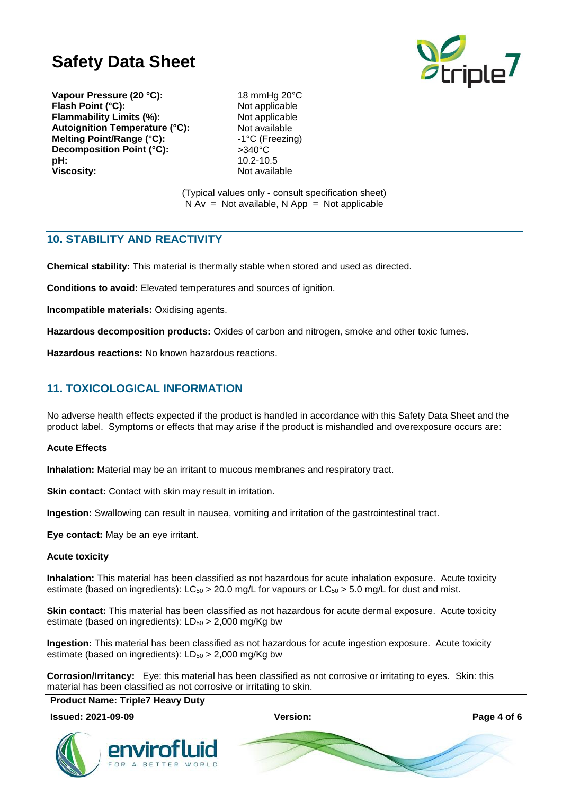

**Vapour Pressure (20 °C):** 18 mmHg 20°C **Flash Point (°C):** Not applicable **Flammability Limits (%):** Not applicable Autoignition Temperature (°C):<br>
Melting Point/Range (°C):<br>
1<sup>°</sup>C (Freezing) **Melting Point/Range (°C): Decomposition Point (°C):**  $>340^{\circ}$ C<br> **pH:** 10.2-10 **Viscosity:** Not available

**pH:** 10.2-10.5

(Typical values only - consult specification sheet)  $N Av = Not available, N App = Not applicable$ 

### **10. STABILITY AND REACTIVITY**

**Chemical stability:** This material is thermally stable when stored and used as directed.

**Conditions to avoid:** Elevated temperatures and sources of ignition.

**Incompatible materials:** Oxidising agents.

**Hazardous decomposition products:** Oxides of carbon and nitrogen, smoke and other toxic fumes.

**Hazardous reactions:** No known hazardous reactions.

### **11. TOXICOLOGICAL INFORMATION**

No adverse health effects expected if the product is handled in accordance with this Safety Data Sheet and the product label. Symptoms or effects that may arise if the product is mishandled and overexposure occurs are:

#### **Acute Effects**

**Inhalation:** Material may be an irritant to mucous membranes and respiratory tract.

**Skin contact:** Contact with skin may result in irritation.

**Ingestion:** Swallowing can result in nausea, vomiting and irritation of the gastrointestinal tract.

**Eye contact:** May be an eye irritant.

#### **Acute toxicity**

**Inhalation:** This material has been classified as not hazardous for acute inhalation exposure. Acute toxicity estimate (based on ingredients):  $LC_{50} > 20.0$  mg/L for vapours or  $LC_{50} > 5.0$  mg/L for dust and mist.

**Skin contact:** This material has been classified as not hazardous for acute dermal exposure. Acute toxicity estimate (based on ingredients):  $LD_{50} > 2,000$  mg/Kg bw

**Ingestion:** This material has been classified as not hazardous for acute ingestion exposure. Acute toxicity estimate (based on ingredients):  $LD_{50} > 2,000$  mg/Kg bw

**Corrosion/Irritancy:** Eye: this material has been classified as not corrosive or irritating to eyes. Skin: this material has been classified as not corrosive or irritating to skin.

**Product Name: Triple7 Heavy Duty**

**Issued: 2021-09-09 Version: Page 4 of 6**



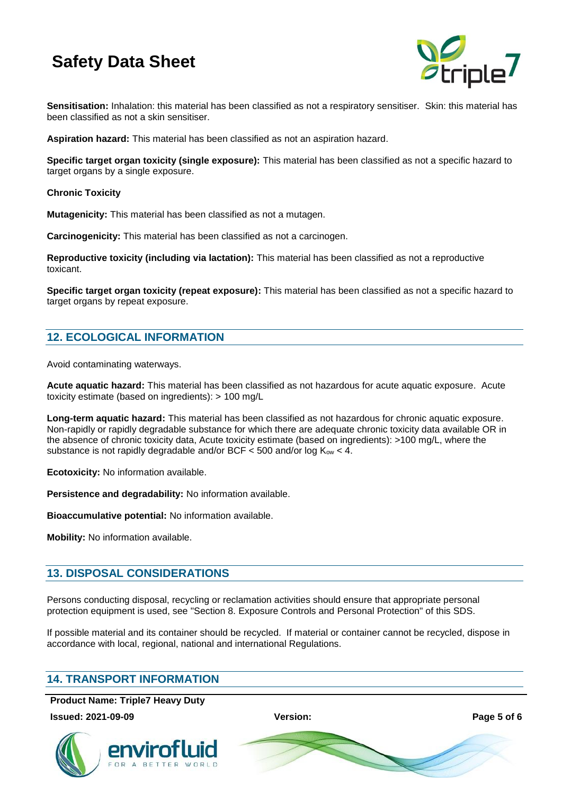

**Sensitisation:** Inhalation: this material has been classified as not a respiratory sensitiser. Skin: this material has been classified as not a skin sensitiser.

**Aspiration hazard:** This material has been classified as not an aspiration hazard.

**Specific target organ toxicity (single exposure):** This material has been classified as not a specific hazard to target organs by a single exposure.

**Chronic Toxicity**

**Mutagenicity:** This material has been classified as not a mutagen.

**Carcinogenicity:** This material has been classified as not a carcinogen.

**Reproductive toxicity (including via lactation):** This material has been classified as not a reproductive toxicant.

**Specific target organ toxicity (repeat exposure):** This material has been classified as not a specific hazard to target organs by repeat exposure.

# **12. ECOLOGICAL INFORMATION**

Avoid contaminating waterways.

**Acute aquatic hazard:** This material has been classified as not hazardous for acute aquatic exposure. Acute toxicity estimate (based on ingredients): > 100 mg/L

**Long-term aquatic hazard:** This material has been classified as not hazardous for chronic aquatic exposure. Non-rapidly or rapidly degradable substance for which there are adequate chronic toxicity data available OR in the absence of chronic toxicity data, Acute toxicity estimate (based on ingredients): >100 mg/L, where the substance is not rapidly degradable and/or BCF  $\leq$  500 and/or log K<sub>ow</sub>  $<$  4.

**Ecotoxicity:** No information available.

**Persistence and degradability:** No information available.

**Bioaccumulative potential:** No information available.

**Mobility:** No information available.

# **13. DISPOSAL CONSIDERATIONS**

Persons conducting disposal, recycling or reclamation activities should ensure that appropriate personal protection equipment is used, see "Section 8. Exposure Controls and Personal Protection" of this SDS.

If possible material and its container should be recycled. If material or container cannot be recycled, dispose in accordance with local, regional, national and international Regulations.

# **14. TRANSPORT INFORMATION**

**Product Name: Triple7 Heavy Duty**

**Issued: 2021-09-09 Version: Page 5 of 6**